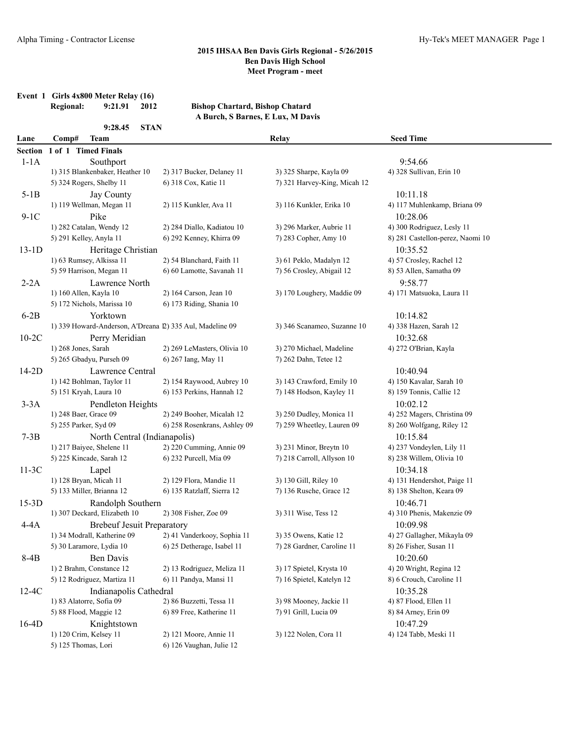|         | Event 1 Girls 4x800 Meter Relay (16)<br><b>Regional:</b><br>9:21.91<br>2012 | <b>Bishop Chartard, Bishop Chatard</b> |                              |                                      |  |
|---------|-----------------------------------------------------------------------------|----------------------------------------|------------------------------|--------------------------------------|--|
|         |                                                                             | A Burch, S Barnes, E Lux, M Davis      |                              |                                      |  |
|         | <b>STAN</b><br>9:28.45                                                      |                                        |                              |                                      |  |
| Lane    | <b>Team</b><br>Comp#                                                        |                                        | <b>Relay</b>                 | <b>Seed Time</b>                     |  |
| Section | 1 of 1 Timed Finals                                                         |                                        |                              |                                      |  |
| $1-1A$  | Southport                                                                   |                                        |                              | 9:54.66                              |  |
|         | 1) 315 Blankenbaker, Heather 10                                             | 2) 317 Bucker, Delaney 11              | 3) 325 Sharpe, Kayla 09      | 4) 328 Sullivan, Erin 10             |  |
|         | 5) 324 Rogers, Shelby 11                                                    | 6) 318 Cox, Katie 11                   | 7) 321 Harvey-King, Micah 12 |                                      |  |
| $5-1B$  | Jay County                                                                  |                                        |                              | 10:11.18                             |  |
|         | 1) 119 Wellman, Megan 11                                                    | 2) 115 Kunkler, Ava 11                 | 3) 116 Kunkler, Erika 10     | 4) 117 Muhlenkamp, Briana 09         |  |
| $9-1C$  | Pike                                                                        |                                        |                              | 10:28.06                             |  |
|         | 1) 282 Catalan, Wendy 12                                                    | 2) 284 Diallo, Kadiatou 10             | 3) 296 Marker, Aubrie 11     | 4) 300 Rodriguez, Lesly 11           |  |
|         | 5) 291 Kelley, Anyla 11                                                     | 6) 292 Kenney, Khirra 09               | 7) 283 Copher, Amy 10        | 8) 281 Castellon-perez, Naomi 10     |  |
| $13-1D$ | Heritage Christian                                                          |                                        |                              | 10:35.52                             |  |
|         | 1) 63 Rumsey, Alkissa 11                                                    | 2) 54 Blanchard, Faith 11              | 3) 61 Peklo, Madalyn 12      | 4) 57 Crosley, Rachel 12             |  |
|         | 5) 59 Harrison, Megan 11                                                    | 6) 60 Lamotte, Savanah 11              | 7) 56 Crosley, Abigail 12    | 8) 53 Allen, Samatha 09              |  |
|         |                                                                             |                                        |                              |                                      |  |
| $2-2A$  | Lawrence North<br>1) 160 Allen, Kayla 10                                    | 2) 164 Carson, Jean 10                 | 3) 170 Loughery, Maddie 09   | 9:58.77<br>4) 171 Matsuoka, Laura 11 |  |
|         | 5) 172 Nichols, Marissa 10                                                  | 6) 173 Riding, Shania 10               |                              |                                      |  |
|         |                                                                             |                                        |                              |                                      |  |
| $6-2B$  | Yorktown                                                                    |                                        |                              | 10:14.82                             |  |
|         | 1) 339 Howard-Anderson, A'Dreana 2) 335 Aul, Madeline 09                    |                                        | 3) 346 Scanameo, Suzanne 10  | 4) 338 Hazen, Sarah 12               |  |
| $10-2C$ | Perry Meridian                                                              |                                        |                              | 10:32.68                             |  |
|         | 1) 268 Jones, Sarah                                                         | 2) 269 LeMasters, Olivia 10            | 3) 270 Michael, Madeline     | 4) 272 O'Brian, Kayla                |  |
|         | 5) 265 Gbadyu, Purseh 09                                                    | 6) 267 Iang, May 11                    | 7) 262 Dahn, Tetee 12        |                                      |  |
| $14-2D$ | Lawrence Central                                                            |                                        |                              | 10:40.94                             |  |
|         | 1) 142 Bohlman, Taylor 11                                                   | 2) 154 Raywood, Aubrey 10              | 3) 143 Crawford, Emily 10    | 4) 150 Kavalar, Sarah 10             |  |
|         | 5) 151 Kryah, Laura 10                                                      | 6) 153 Perkins, Hannah 12              | 7) 148 Hodson, Kayley 11     | 8) 159 Tonnis, Callie 12             |  |
| $3-3A$  | Pendleton Heights                                                           |                                        |                              | 10:02.12                             |  |
|         | 1) 248 Baer, Grace 09                                                       | 2) 249 Booher, Micalah 12              | 3) 250 Dudley, Monica 11     | 4) 252 Magers, Christina 09          |  |
|         | 5) 255 Parker, Syd 09                                                       | 6) 258 Rosenkrans, Ashley 09           | 7) 259 Wheetley, Lauren 09   | 8) 260 Wolfgang, Riley 12            |  |
| $7-3B$  | North Central (Indianapolis)                                                |                                        |                              | 10:15.84                             |  |
|         | 1) 217 Baiyee, Shelene 11                                                   | 2) 220 Cumming, Annie 09               | 3) 231 Minor, Breytn 10      | 4) 237 Vondeylen, Lily 11            |  |
|         | 5) 225 Kincade, Sarah 12                                                    | 6) 232 Purcell, Mia 09                 | 7) 218 Carroll, Allyson 10   | 8) 238 Willem, Olivia 10             |  |
| $11-3C$ | Lapel                                                                       |                                        |                              | 10:34.18                             |  |
|         | 1) 128 Bryan, Micah 11                                                      | 2) 129 Flora, Mandie 11                | 3) 130 Gill, Riley 10        | 4) 131 Hendershot, Paige 11          |  |
|         | 5) 133 Miller, Brianna 12                                                   | 6) 135 Ratzlaff, Sierra 12             | 7) 136 Rusche, Grace 12      | 8) 138 Shelton, Keara 09             |  |
| $15-3D$ | Randolph Southern                                                           |                                        |                              | 10:46.71                             |  |
|         | 1) 307 Deckard, Elizabeth 10                                                | 2) 308 Fisher, Zoe 09                  | 3) 311 Wise, Tess 12         | 4) 310 Phenis, Makenzie 09           |  |
| $4-4A$  | <b>Brebeuf Jesuit Preparatory</b>                                           |                                        |                              | 10:09.98                             |  |
|         | 1) 34 Modrall, Katherine 09                                                 | 2) 41 Vanderkooy, Sophia 11            | 3) 35 Owens, Katie 12        | 4) 27 Gallagher, Mikayla 09          |  |
|         | 5) 30 Laramore, Lydia 10                                                    | 6) 25 Detherage, Isabel 11             | 7) 28 Gardner, Caroline 11   | 8) 26 Fisher, Susan 11               |  |
| $8-4B$  | Ben Davis                                                                   |                                        |                              | 10:20.60                             |  |
|         | 1) 2 Brahm, Constance 12                                                    | 2) 13 Rodriguez, Meliza 11             | 3) 17 Spietel, Krysta 10     | 4) 20 Wright, Regina 12              |  |
|         | 5) 12 Rodriguez, Martiza 11                                                 | 6) 11 Pandya, Mansi 11                 | 7) 16 Spietel, Katelyn 12    | 8) 6 Crouch, Caroline 11             |  |
| $12-4C$ | Indianapolis Cathedral                                                      |                                        |                              | 10:35.28                             |  |
|         | 1) 83 Alatorre, Sofia 09                                                    | 2) 86 Buzzetti, Tessa 11               | 3) 98 Mooney, Jackie 11      | 4) 87 Flood, Ellen 11                |  |
|         | 5) 88 Flood, Maggie 12                                                      | 6) 89 Free, Katherine 11               | 7) 91 Grill, Lucia 09        | 8) 84 Arney, Erin 09                 |  |
| $16-4D$ | Knightstown                                                                 |                                        |                              | 10:47.29                             |  |
|         | 1) 120 Crim, Kelsey 11                                                      | 2) 121 Moore, Annie 11                 | 3) 122 Nolen, Cora 11        | 4) 124 Tabb, Meski 11                |  |
|         | 5) 125 Thomas, Lori                                                         | 6) 126 Vaughan, Julie 12               |                              |                                      |  |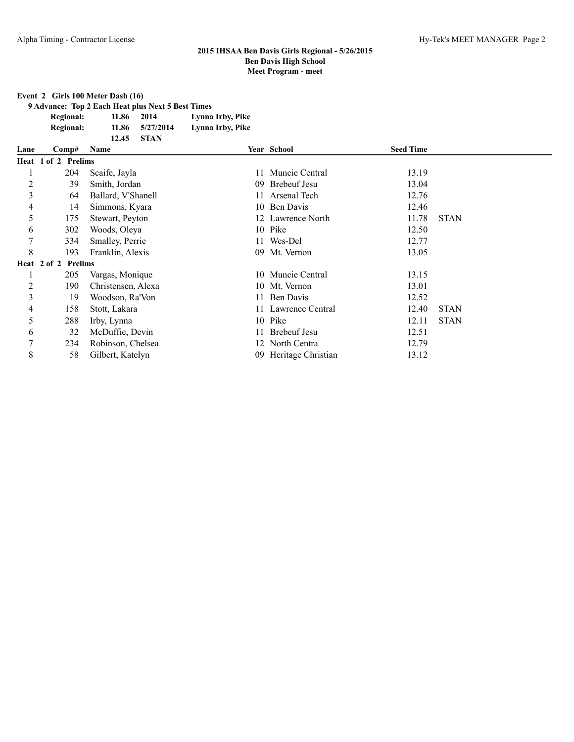#### **Event 2 Girls 100 Meter Dash (16)**

**9 Advance: Top 2 Each Heat plus Next 5 Best Times**

**Regional: 11.86 2014 Lynna Irby, Pike**

**Regional: 11.86 5/27/2014 Lynna Irby, Pike 12.45 STAN**

| Lane | Comp#               | Name               |     | Year School         | <b>Seed Time</b> |             |
|------|---------------------|--------------------|-----|---------------------|------------------|-------------|
|      | Heat 1 of 2 Prelims |                    |     |                     |                  |             |
|      | 204                 | Scaife, Jayla      |     | Muncie Central      | 13.19            |             |
| 2    | 39                  | Smith, Jordan      | 09  | Brebeuf Jesu        | 13.04            |             |
| 3    | 64                  | Ballard, V'Shanell |     | 11 Arsenal Tech     | 12.76            |             |
| 4    | 14                  | Simmons, Kyara     |     | 10 Ben Davis        | 12.46            |             |
| 5    | 175                 | Stewart, Peyton    |     | 12 Lawrence North   | 11.78            | <b>STAN</b> |
| 6    | 302                 | Woods, Oleya       |     | 10 Pike             | 12.50            |             |
| 7    | 334                 | Smalley, Perrie    |     | 11 Wes-Del          | 12.77            |             |
| 8    | 193                 | Franklin, Alexis   | 09. | Mt. Vernon          | 13.05            |             |
|      | Heat 2 of 2 Prelims |                    |     |                     |                  |             |
|      | 205                 | Vargas, Monique    |     | 10 Muncie Central   | 13.15            |             |
| 2    | 190                 | Christensen, Alexa |     | 10 Mt. Vernon       | 13.01            |             |
| 3    | 19                  | Woodson, Ra'Von    |     | 11 Ben Davis        | 12.52            |             |
| 4    | 158                 | Stott, Lakara      |     | 11 Lawrence Central | 12.40            | <b>STAN</b> |
| 5    | 288                 | Irby, Lynna        |     | 10 Pike             | 12.11            | <b>STAN</b> |
| 6    | 32                  | McDuffie, Devin    |     | 11 Brebeuf Jesu     | 12.51            |             |
| 7    | 234                 | Robinson, Chelsea  |     | 12 North Centra     | 12.79            |             |
| 8    | 58                  | Gilbert, Katelyn   | 09  | Heritage Christian  | 13.12            |             |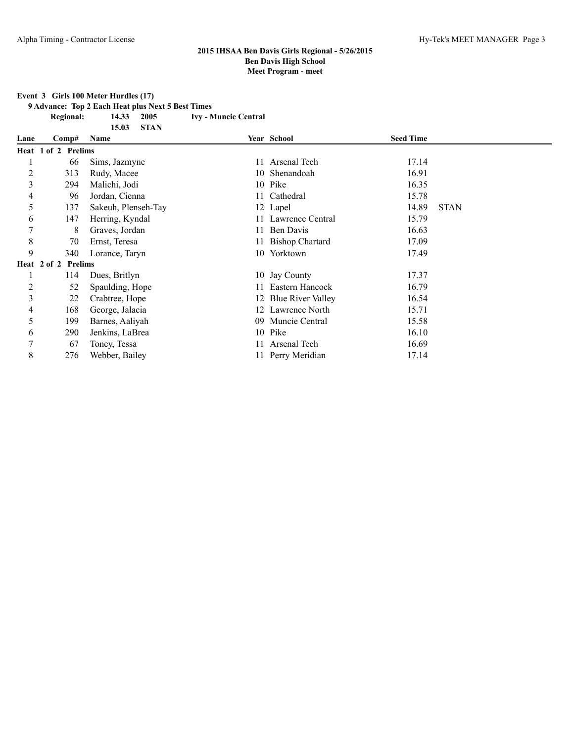**Event 3 Girls 100 Meter Hurdles (17)**

**9 Advance: Top 2 Each Heat plus Next 5 Best Times**

**Regional: 14.33 2005 Ivy - Muncie Central 15.03 STAN**

| Lane | Comp#               |     | Name                |     | Year School          | <b>Seed Time</b> |             |
|------|---------------------|-----|---------------------|-----|----------------------|------------------|-------------|
|      | Heat 1 of 2 Prelims |     |                     |     |                      |                  |             |
|      |                     | 66  | Sims, Jazmyne       |     | 11 Arsenal Tech      | 17.14            |             |
| 2    | 313                 |     | Rudy, Macee         |     | 10 Shenandoah        | 16.91            |             |
| 3    | 294                 |     | Malichi, Jodi       |     | 10 Pike              | 16.35            |             |
| 4    |                     | 96  | Jordan, Cienna      |     | 11 Cathedral         | 15.78            |             |
| 5    | 137                 |     | Sakeuh, Plenseh-Tay |     | 12 Lapel             | 14.89            | <b>STAN</b> |
| 6    | 147                 |     | Herring, Kyndal     |     | 11 Lawrence Central  | 15.79            |             |
| 7    |                     | 8   | Graves, Jordan      |     | 11 Ben Davis         | 16.63            |             |
| 8    |                     | 70  | Ernst, Teresa       |     | 11 Bishop Chartard   | 17.09            |             |
| 9    | 340                 |     | Lorance, Taryn      |     | 10 Yorktown          | 17.49            |             |
|      | Heat 2 of 2 Prelims |     |                     |     |                      |                  |             |
|      |                     | 114 | Dues, Britlyn       |     | 10 Jay County        | 17.37            |             |
| 2    |                     | 52  | Spaulding, Hope     |     | Eastern Hancock      | 16.79            |             |
| 3    |                     | 22  | Crabtree, Hope      |     | 12 Blue River Valley | 16.54            |             |
| 4    | 168                 |     | George, Jalacia     |     | 12 Lawrence North    | 15.71            |             |
| 5    | 199                 |     | Barnes, Aaliyah     | 09. | Muncie Central       | 15.58            |             |
| 6    | 290                 |     | Jenkins, LaBrea     |     | 10 Pike              | 16.10            |             |
| 7    |                     | 67  | Toney, Tessa        |     | 11 Arsenal Tech      | 16.69            |             |
| 8    | 276                 |     | Webber, Bailey      |     | 11 Perry Meridian    | 17.14            |             |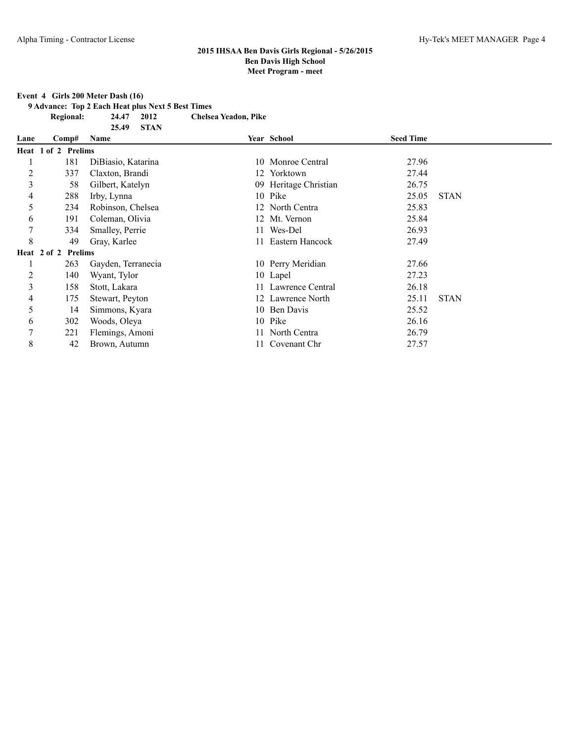#### **Event 4 Girls 200 Meter Dash (16)**

**9 Advance: Top 2 Each Heat plus Next 5 Best Times**

**25.49 STAN**

**Regional: 24.47 2012 Chelsea Yeadon, Pike**

| Lane | Comp#               | Name               |     | Year School           | <b>Seed Time</b> |             |
|------|---------------------|--------------------|-----|-----------------------|------------------|-------------|
|      | Heat 1 of 2 Prelims |                    |     |                       |                  |             |
|      | 181                 | DiBiasio, Katarina |     | 10 Monroe Central     | 27.96            |             |
| 2    | 337                 | Claxton, Brandi    |     | 12 Yorktown           | 27.44            |             |
| 3    | 58                  | Gilbert, Katelyn   |     | 09 Heritage Christian | 26.75            |             |
| 4    | 288                 | Irby, Lynna        |     | 10 Pike               | 25.05            | <b>STAN</b> |
| 5    | 234                 | Robinson, Chelsea  |     | 12 North Centra       | 25.83            |             |
| 6    | 191                 | Coleman, Olivia    |     | 12 Mt. Vernon         | 25.84            |             |
|      | 334                 | Smalley, Perrie    |     | 11 Wes-Del            | 26.93            |             |
| 8    | 49                  | Gray, Karlee       | 11. | Eastern Hancock       | 27.49            |             |
|      | Heat 2 of 2 Prelims |                    |     |                       |                  |             |
|      | 263                 | Gayden, Terranecia |     | 10 Perry Meridian     | 27.66            |             |
| 2    | 140                 | Wyant, Tylor       |     | 10 Lapel              | 27.23            |             |
| 3    | 158                 | Stott, Lakara      |     | 11 Lawrence Central   | 26.18            |             |
| 4    | 175                 | Stewart, Peyton    |     | 12 Lawrence North     | 25.11            | <b>STAN</b> |
| 5    | 14                  | Simmons, Kyara     |     | 10 Ben Davis          | 25.52            |             |
| 6    | 302                 | Woods, Oleya       |     | 10 Pike               | 26.16            |             |
| 7    | 221                 | Flemings, Amoni    |     | 11 North Centra       | 26.79            |             |
| 8    | 42                  | Brown, Autumn      |     | 11 Covenant Chr       | 27.57            |             |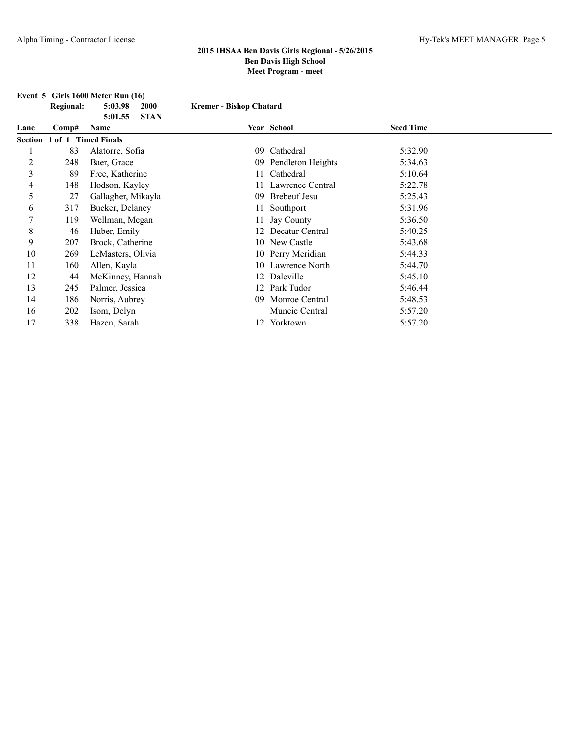|                |                             | Event $5$ Girls 1600 Meter Run $(16)$ |                                |                    |                  |  |
|----------------|-----------------------------|---------------------------------------|--------------------------------|--------------------|------------------|--|
|                | <b>Regional:</b>            | 5:03.98<br>2000                       | <b>Kremer - Bishop Chatard</b> |                    |                  |  |
|                |                             | <b>STAN</b><br>5:01.55                |                                |                    |                  |  |
| Lane           | Comp#                       | <b>Name</b>                           |                                | Year School        | <b>Seed Time</b> |  |
|                | Section 1 of 1 Timed Finals |                                       |                                |                    |                  |  |
|                | 83                          | Alatorre, Sofia                       |                                | 09 Cathedral       | 5:32.90          |  |
| $\overline{c}$ | 248                         | Baer, Grace                           | 09                             | Pendleton Heights  | 5:34.63          |  |
| 3              | 89                          | Free, Katherine                       |                                | Cathedral          | 5:10.64          |  |
| 4              | 148                         | Hodson, Kayley                        |                                | Lawrence Central   | 5:22.78          |  |
| 5              | 27                          | Gallagher, Mikayla                    | 09                             | Brebeuf Jesu       | 5:25.43          |  |
| 6              | 317                         | Bucker, Delaney                       | 11                             | Southport          | 5:31.96          |  |
| 7              | 119                         | Wellman, Megan                        | 11                             | Jay County         | 5:36.50          |  |
| 8              | 46                          | Huber, Emily                          |                                | 12 Decatur Central | 5:40.25          |  |
| 9              | 207                         | Brock, Catherine                      |                                | 10 New Castle      | 5:43.68          |  |
| 10             | 269                         | LeMasters, Olivia                     |                                | 10 Perry Meridian  | 5:44.33          |  |
| 11             | 160                         | Allen, Kayla                          |                                | 10 Lawrence North  | 5:44.70          |  |
| 12             | 44                          | McKinney, Hannah                      |                                | 12 Daleville       | 5:45.10          |  |
| 13             | 245                         | Palmer, Jessica                       | 12                             | Park Tudor         | 5:46.44          |  |
| 14             | 186                         | Norris, Aubrey                        | 09                             | Monroe Central     | 5:48.53          |  |
| 16             | 202                         | Isom, Delyn                           |                                | Muncie Central     | 5:57.20          |  |
| 17             | 338                         | Hazen, Sarah                          |                                | 12 Yorktown        | 5:57.20          |  |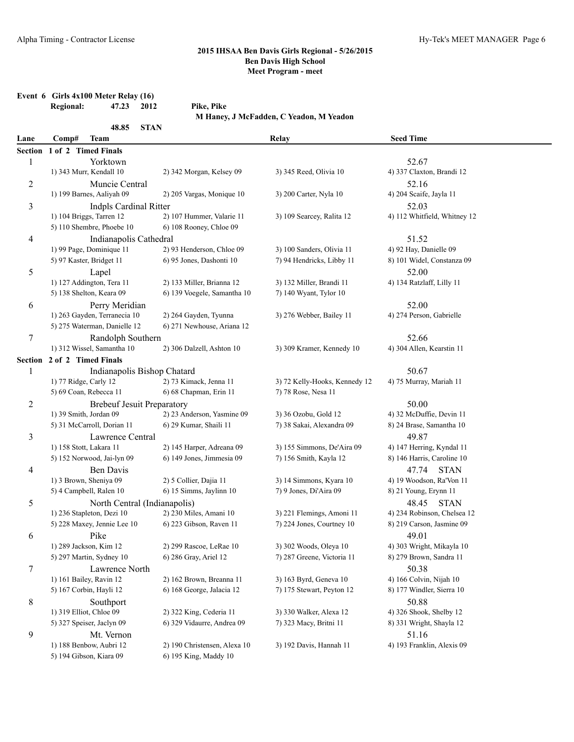#### **Event 6 Girls 4x100 Meter Relay (16) Regional: 47.23 2012 Pike, Pike**

**M Haney, J McFadden, C Yeadon, M Yeadon**

|                | 48.85<br><b>STAN</b>              |                              |                               |                              |  |
|----------------|-----------------------------------|------------------------------|-------------------------------|------------------------------|--|
| Lane           | Comp#<br><b>Team</b>              |                              | Relay                         | <b>Seed Time</b>             |  |
|                | Section 1 of 2 Timed Finals       |                              |                               |                              |  |
| 1              | Yorktown                          |                              |                               | 52.67                        |  |
|                | 1) 343 Murr, Kendall 10           | 2) 342 Morgan, Kelsey 09     | 3) 345 Reed, Olivia 10        | 4) 337 Claxton, Brandi 12    |  |
| $\overline{c}$ | Muncie Central                    |                              |                               | 52.16                        |  |
|                | 1) 199 Barnes, Aaliyah 09         | 2) 205 Vargas, Monique 10    | 3) 200 Carter, Nyla 10        | 4) 204 Scaife, Jayla 11      |  |
| 3              | <b>Indpls Cardinal Ritter</b>     |                              |                               | 52.03                        |  |
|                | 1) 104 Briggs, Tarren 12          | 2) 107 Hummer, Valarie 11    | 3) 109 Searcey, Ralita 12     | 4) 112 Whitfield, Whitney 12 |  |
|                | 5) 110 Shembre, Phoebe 10         | 6) 108 Rooney, Chloe 09      |                               |                              |  |
| 4              | Indianapolis Cathedral            |                              |                               | 51.52                        |  |
|                | 1) 99 Page, Dominique 11          | 2) 93 Henderson, Chloe 09    | 3) 100 Sanders, Olivia 11     | 4) 92 Hay, Danielle 09       |  |
|                | 5) 97 Kaster, Bridget 11          | 6) 95 Jones, Dashonti 10     | 7) 94 Hendricks, Libby 11     | 8) 101 Widel, Constanza 09   |  |
| 5              | Lapel                             |                              |                               | 52.00                        |  |
|                | 1) 127 Addington, Tera 11         | 2) 133 Miller, Brianna 12    | 3) 132 Miller, Brandi 11      | 4) 134 Ratzlaff, Lilly 11    |  |
|                | 5) 138 Shelton, Keara 09          | 6) 139 Voegele, Samantha 10  | 7) 140 Wyant, Tylor 10        |                              |  |
| 6              | Perry Meridian                    |                              |                               | 52.00                        |  |
|                | 1) 263 Gayden, Terranecia 10      | 2) 264 Gayden, Tyunna        | 3) 276 Webber, Bailey 11      | 4) 274 Person, Gabrielle     |  |
|                | 5) 275 Waterman, Danielle 12      | 6) 271 Newhouse, Ariana 12   |                               |                              |  |
| 7              | Randolph Southern                 |                              |                               | 52.66                        |  |
|                | 1) 312 Wissel, Samantha 10        | 2) 306 Dalzell, Ashton 10    | 3) 309 Kramer, Kennedy 10     | 4) 304 Allen, Kearstin 11    |  |
|                | Section 2 of 2 Timed Finals       |                              |                               |                              |  |
| 1              | Indianapolis Bishop Chatard       |                              |                               | 50.67                        |  |
|                | 1) 77 Ridge, Carly 12             | 2) 73 Kimack, Jenna 11       | 3) 72 Kelly-Hooks, Kennedy 12 | 4) 75 Murray, Mariah 11      |  |
|                | 5) 69 Coan, Rebecca 11            | 6) 68 Chapman, Erin 11       | 7) 78 Rose, Nesa 11           |                              |  |
| $\overline{2}$ | <b>Brebeuf Jesuit Preparatory</b> |                              |                               | 50.00                        |  |
|                | 1) 39 Smith, Jordan 09            | 2) 23 Anderson, Yasmine 09   | 3) 36 Ozobu, Gold 12          | 4) 32 McDuffie, Devin 11     |  |
|                | 5) 31 McCarroll, Dorian 11        | 6) 29 Kumar, Shaili 11       | 7) 38 Sakai, Alexandra 09     | 8) 24 Brase, Samantha 10     |  |
| 3              | Lawrence Central                  |                              |                               | 49.87                        |  |
|                | 1) 158 Stott, Lakara 11           | 2) 145 Harper, Adreana 09    | 3) 155 Simmons, De'Aira 09    | 4) 147 Herring, Kyndal 11    |  |
|                | 5) 152 Norwood, Jai-lyn 09        | 6) 149 Jones, Jimmesia 09    | 7) 156 Smith, Kayla 12        | 8) 146 Harris, Caroline 10   |  |
| 4              | Ben Davis                         |                              |                               | 47.74<br><b>STAN</b>         |  |
|                | 1) 3 Brown, Sheniya 09            | 2) 5 Collier, Dajia 11       | 3) 14 Simmons, Kyara 10       | 4) 19 Woodson, Ra'Von 11     |  |
|                | 5) 4 Campbell, Ralen 10           | 6) 15 Simms, Jaylinn 10      | 7) 9 Jones, Di'Aira 09        | 8) 21 Young, Erynn 11        |  |
| 5              | North Central (Indianapolis)      |                              |                               | 48.45<br><b>STAN</b>         |  |
|                | 1) 236 Stapleton, Dezi 10         | 2) 230 Miles, Amani 10       | 3) 221 Flemings, Amoni 11     | 4) 234 Robinson, Chelsea 12  |  |
|                | 5) 228 Maxey, Jennie Lee 10       | 6) 223 Gibson, Raven 11      | 7) 224 Jones, Courtney 10     | 8) 219 Carson, Jasmine 09    |  |
| 6              | Pike                              |                              |                               | 49.01                        |  |
|                | 1) 289 Jackson, Kim 12            | 2) 299 Rascoe, LeRae 10      | 3) 302 Woods, Oleya 10        | 4) 303 Wright, Mikayla 10    |  |
|                | 5) 297 Martin, Sydney 10          | 6) 286 Gray, Ariel 12        | 7) 287 Greene, Victoria 11    | 8) 279 Brown, Sandra 11      |  |
| $\tau$         | Lawrence North                    |                              |                               | 50.38                        |  |
|                | 1) 161 Bailey, Ravin 12           | 2) 162 Brown, Breanna 11     | 3) 163 Byrd, Geneva 10        | 4) 166 Colvin, Nijah 10      |  |
|                | 5) 167 Corbin, Hayli 12           | 6) 168 George, Jalacia 12    | 7) 175 Stewart, Peyton 12     | 8) 177 Windler, Sierra 10    |  |
| 8              | Southport                         |                              |                               | 50.88                        |  |
|                | 1) 319 Elliot, Chloe 09           | 2) 322 King, Cederia 11      | 3) 330 Walker, Alexa 12       | 4) 326 Shook, Shelby 12      |  |
|                | 5) 327 Speiser, Jaclyn 09         | 6) 329 Vidaurre, Andrea 09   | 7) 323 Macy, Britni 11        | 8) 331 Wright, Shayla 12     |  |
| 9              | Mt. Vernon                        |                              |                               | 51.16                        |  |
|                | 1) 188 Benbow, Aubri 12           | 2) 190 Christensen, Alexa 10 | 3) 192 Davis, Hannah 11       | 4) 193 Franklin, Alexis 09   |  |
|                | 5) 194 Gibson, Kiara 09           | 6) 195 King, Maddy 10        |                               |                              |  |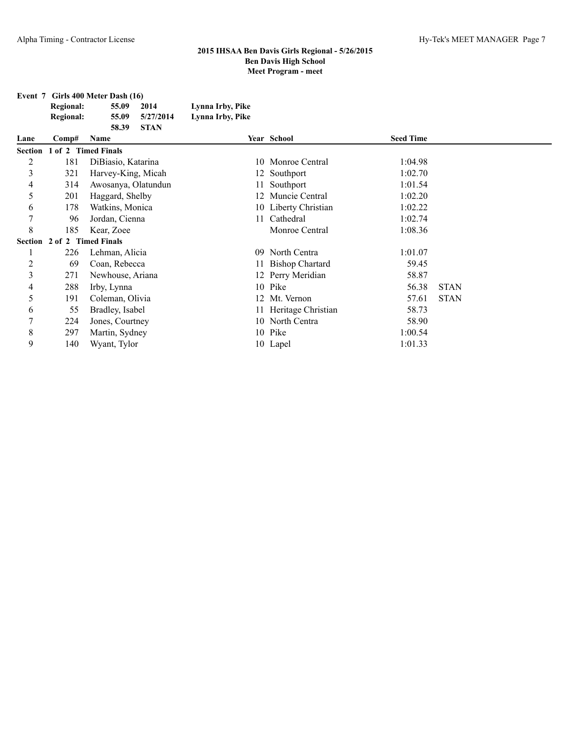| Event 7 Girls 400 Meter Dash (16) |       |             |                  |
|-----------------------------------|-------|-------------|------------------|
| Regional:                         | 55.09 | 2014        | Lynna Irby, Pike |
| <b>Regional:</b>                  | 55.09 | 5/27/2014   | Lynna Irby, Pike |
|                                   | 58.39 | <b>STAN</b> |                  |

| Lane           | Comp#               | Name                |     | Year School            | <b>Seed Time</b> |             |
|----------------|---------------------|---------------------|-----|------------------------|------------------|-------------|
| Section        | 1 of 2 Timed Finals |                     |     |                        |                  |             |
| $\overline{c}$ | 181                 | DiBiasio, Katarina  |     | 10 Monroe Central      | 1:04.98          |             |
| 3              | 321                 | Harvey-King, Micah  |     | 12 Southport           | 1:02.70          |             |
| 4              | 314                 | Awosanya, Olatundun | 11  | Southport              | 1:01.54          |             |
| 5              | 201                 | Haggard, Shelby     |     | 12 Muncie Central      | 1:02.20          |             |
| 6              | 178                 | Watkins, Monica     |     | 10 Liberty Christian   | 1:02.22          |             |
| 7              | 96                  | Jordan, Cienna      | 11. | Cathedral              | 1:02.74          |             |
| 8              | 185                 | Kear, Zoee          |     | Monroe Central         | 1:08.36          |             |
| Section        | 2 of 2 Timed Finals |                     |     |                        |                  |             |
|                | 226                 | Lehman, Alicia      | 09  | North Centra           | 1:01.07          |             |
| 2              | 69                  | Coan, Rebecca       | 11. | <b>Bishop Chartard</b> | 59.45            |             |
| 3              | 271                 | Newhouse, Ariana    |     | 12 Perry Meridian      | 58.87            |             |
| 4              | 288                 | Irby, Lynna         |     | 10 Pike                | 56.38            | <b>STAN</b> |
| 5              | 191                 | Coleman, Olivia     |     | 12 Mt. Vernon          | 57.61            | <b>STAN</b> |
| 6              | 55                  | Bradley, Isabel     | Ħ.  | Heritage Christian     | 58.73            |             |
| 7              | 224                 | Jones, Courtney     |     | 10 North Centra        | 58.90            |             |
| 8              | 297                 | Martin, Sydney      |     | 10 Pike                | 1:00.54          |             |
| 9              | 140                 | Wyant, Tylor        |     | 10 Lapel               | 1:01.33          |             |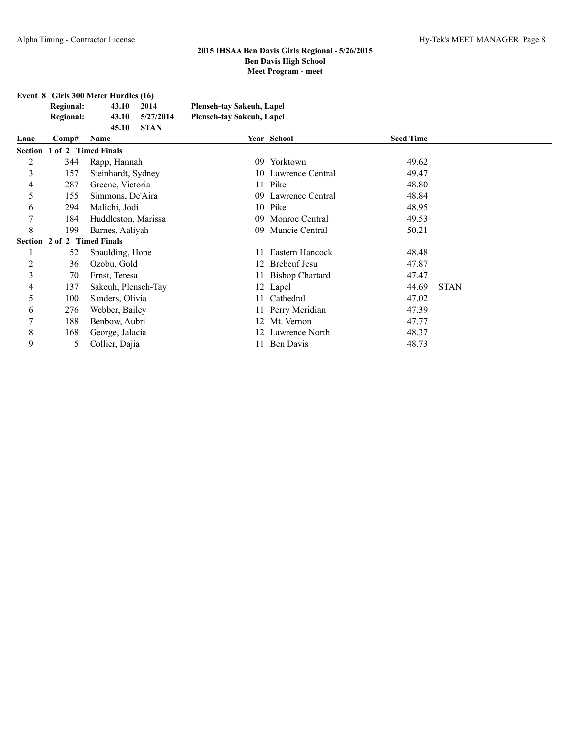| Event 8 Girls 300 Meter Hurdles (16) |       |             |                           |  |  |
|--------------------------------------|-------|-------------|---------------------------|--|--|
| <b>Regional:</b>                     | 43.10 | 2014        | Plenseh-tay Sakeuh, Lapel |  |  |
| <b>Regional:</b>                     | 43.10 | 5/27/2014   | Plenseh-tay Sakeuh, Lapel |  |  |
|                                      | 45.10 | <b>STAN</b> |                           |  |  |
|                                      |       |             |                           |  |  |

| Lane    | Comp#                       | Name                |     | Year School            | <b>Seed Time</b> |             |
|---------|-----------------------------|---------------------|-----|------------------------|------------------|-------------|
|         | Section 1 of 2 Timed Finals |                     |     |                        |                  |             |
| 2       | 344                         | Rapp, Hannah        |     | 09 Yorktown            | 49.62            |             |
| 3       | 157                         | Steinhardt, Sydney  |     | 10 Lawrence Central    | 49.47            |             |
| 4       | 287                         | Greene, Victoria    |     | 11 Pike                | 48.80            |             |
| 5       | 155                         | Simmons, De'Aira    |     | 09 Lawrence Central    | 48.84            |             |
| 6       | 294                         | Malichi, Jodi       |     | 10 Pike                | 48.95            |             |
| 7       | 184                         | Huddleston, Marissa | 09. | Monroe Central         | 49.53            |             |
| 8       | 199                         | Barnes, Aaliyah     | 09. | Muncie Central         | 50.21            |             |
| Section | 2 of 2 Timed Finals         |                     |     |                        |                  |             |
|         | 52                          | Spaulding, Hope     |     | Eastern Hancock        | 48.48            |             |
| 2       | 36                          | Ozobu, Gold         |     | 12 Brebeuf Jesu        | 47.87            |             |
| 3       | 70                          | Ernst, Teresa       | 11. | <b>Bishop Chartard</b> | 47.47            |             |
| 4       | 137                         | Sakeuh, Plenseh-Tay |     | 12 Lapel               | 44.69            | <b>STAN</b> |
| 5       | 100                         | Sanders, Olivia     | 11  | Cathedral              | 47.02            |             |
| 6       | 276                         | Webber, Bailey      |     | 11 Perry Meridian      | 47.39            |             |
| 7       | 188                         | Benbow, Aubri       | 12  | Mt. Vernon             | 47.77            |             |
| 8       | 168                         | George, Jalacia     |     | 12 Lawrence North      | 48.37            |             |
| 9       | 5                           | Collier, Dajia      | 11  | Ben Davis              | 48.73            |             |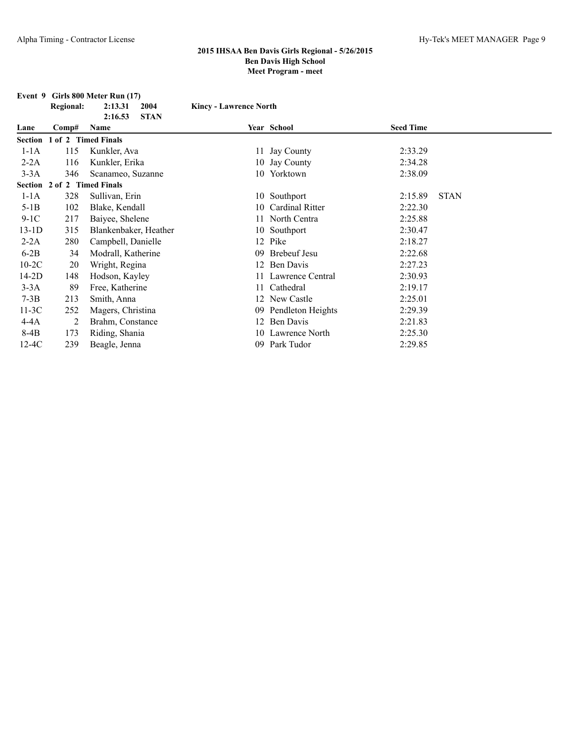|                |                  | Event 9 Girls 800 Meter Run (17) |                               |                      |                  |             |
|----------------|------------------|----------------------------------|-------------------------------|----------------------|------------------|-------------|
|                | <b>Regional:</b> | 2:13.31<br>2004                  | <b>Kincy - Lawrence North</b> |                      |                  |             |
|                |                  | <b>STAN</b><br>2:16.53           |                               |                      |                  |             |
| Lane           | Comp#            | Name                             |                               | <b>Year School</b>   | <b>Seed Time</b> |             |
| <b>Section</b> |                  | 1 of 2 Timed Finals              |                               |                      |                  |             |
| $1-1A$         | 115              | Kunkler, Ava                     |                               | 11 Jay County        | 2:33.29          |             |
| $2-2A$         | 116              | Kunkler, Erika                   |                               | 10 Jay County        | 2:34.28          |             |
| $3-3A$         | 346              | Scanameo, Suzanne                |                               | 10 Yorktown          | 2:38.09          |             |
|                |                  | Section 2 of 2 Timed Finals      |                               |                      |                  |             |
| $1-1A$         | 328              | Sullivan, Erin                   |                               | 10 Southport         | 2:15.89          | <b>STAN</b> |
| $5-1B$         | 102              | Blake, Kendall                   |                               | 10 Cardinal Ritter   | 2:22.30          |             |
| $9-1C$         | 217              | Baiyee, Shelene                  |                               | 11 North Centra      | 2:25.88          |             |
| $13-1D$        | 315              | Blankenbaker, Heather            |                               | 10 Southport         | 2:30.47          |             |
| $2-2A$         | 280              | Campbell, Danielle               |                               | 12 Pike              | 2:18.27          |             |
| $6-2B$         | 34               | Modrall, Katherine               | 09.                           | Brebeuf Jesu         | 2:22.68          |             |
| $10-2C$        | 20               | Wright, Regina                   |                               | 12 Ben Davis         | 2:27.23          |             |
| $14-2D$        | 148              | Hodson, Kayley                   |                               | 11 Lawrence Central  | 2:30.93          |             |
| $3-3A$         | 89               | Free, Katherine                  | 11                            | Cathedral            | 2:19.17          |             |
| $7-3B$         | 213              | Smith, Anna                      |                               | 12 New Castle        | 2:25.01          |             |
| $11-3C$        | 252              | Magers, Christina                |                               | 09 Pendleton Heights | 2:29.39          |             |
| 4-4A           | 2                | Brahm, Constance                 |                               | 12 Ben Davis         | 2:21.83          |             |
| $8-4B$         | 173              | Riding, Shania                   |                               | 10 Lawrence North    | 2:25.30          |             |
| $12-4C$        | 239              | Beagle, Jenna                    | 09                            | Park Tudor           | 2:29.85          |             |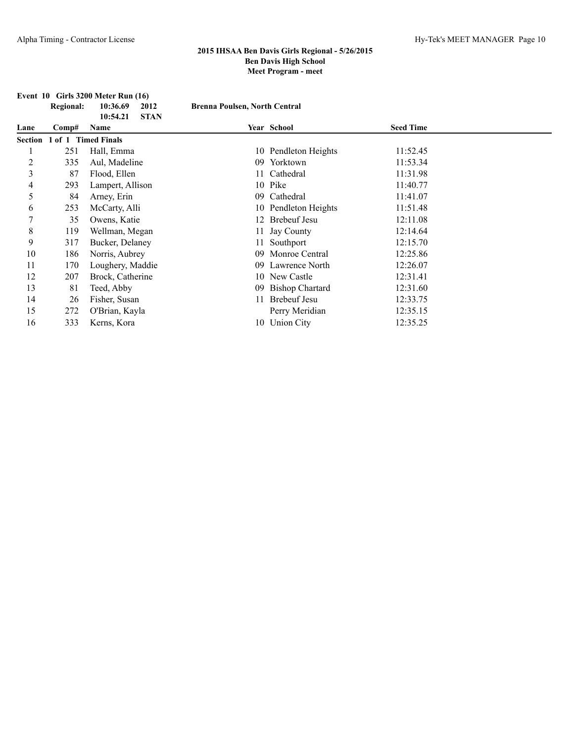|                | Event 10 Girls 3200 Meter Run (16) |                         |                                      |                        |                  |  |  |
|----------------|------------------------------------|-------------------------|--------------------------------------|------------------------|------------------|--|--|
|                | <b>Regional:</b>                   | 10:36.69<br>2012        | <b>Brenna Poulsen, North Central</b> |                        |                  |  |  |
|                |                                    | <b>STAN</b><br>10:54.21 |                                      |                        |                  |  |  |
| Lane           | Comp#                              | Name                    |                                      | Year School            | <b>Seed Time</b> |  |  |
|                | Section 1 of 1 Timed Finals        |                         |                                      |                        |                  |  |  |
|                | 251                                | Hall, Emma              |                                      | 10 Pendleton Heights   | 11:52.45         |  |  |
| $\overline{2}$ | 335                                | Aul, Madeline           | 09                                   | Yorktown               | 11:53.34         |  |  |
| 3              | 87                                 | Flood, Ellen            |                                      | 11 Cathedral           | 11:31.98         |  |  |
| 4              | 293                                | Lampert, Allison        |                                      | 10 Pike                | 11:40.77         |  |  |
| 5              | 84                                 | Arney, Erin             | 09.                                  | Cathedral              | 11:41.07         |  |  |
| 6              | 253                                | McCarty, Alli           |                                      | 10 Pendleton Heights   | 11:51.48         |  |  |
| 7              | 35                                 | Owens, Katie            |                                      | 12 Brebeuf Jesu        | 12:11.08         |  |  |
| 8              | 119                                | Wellman, Megan          |                                      | 11 Jay County          | 12:14.64         |  |  |
| 9              | 317                                | Bucker, Delaney         |                                      | Southport              | 12:15.70         |  |  |
| 10             | 186                                | Norris, Aubrey          | 09                                   | Monroe Central         | 12:25.86         |  |  |
| 11             | 170                                | Loughery, Maddie        |                                      | 09 Lawrence North      | 12:26.07         |  |  |
| 12             | 207                                | Brock, Catherine        |                                      | 10 New Castle          | 12:31.41         |  |  |
| 13             | 81                                 | Teed, Abby              | 09                                   | <b>Bishop Chartard</b> | 12:31.60         |  |  |
| 14             | 26                                 | Fisher, Susan           |                                      | 11 Brebeuf Jesu        | 12:33.75         |  |  |
| 15             | 272                                | O'Brian, Kayla          |                                      | Perry Meridian         | 12:35.15         |  |  |
| 16             | 333                                | Kerns, Kora             |                                      | 10 Union City          | 12:35.25         |  |  |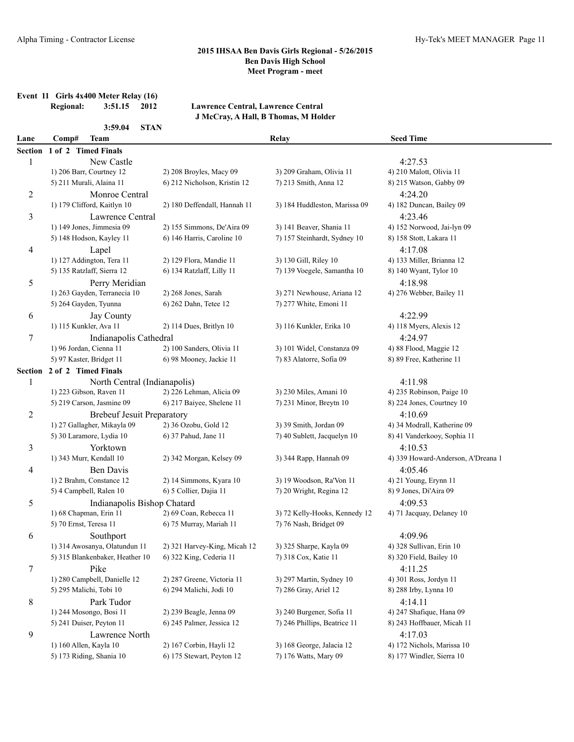**Event 11 Girls 4x400 Meter Relay (16)**

#### **Regional: 3:51.15 2012 Lawrence Central, Lawrence Central J McCray, A Hall, B Thomas, M Holder**

|                | 3:59.04<br><b>STAN</b>            |                              |                               |                                    |
|----------------|-----------------------------------|------------------------------|-------------------------------|------------------------------------|
| Lane           | Comp#<br>Team                     |                              | Relay                         | <b>Seed Time</b>                   |
|                | Section 1 of 2 Timed Finals       |                              |                               |                                    |
| 1              | New Castle                        |                              |                               | 4:27.53                            |
|                | 1) 206 Barr, Courtney 12          | 2) 208 Broyles, Macy 09      | 3) 209 Graham, Olivia 11      | 4) 210 Malott, Olivia 11           |
|                | 5) 211 Murali, Alaina 11          | 6) 212 Nicholson, Kristin 12 | 7) 213 Smith, Anna 12         | 8) 215 Watson, Gabby 09            |
| 2              | Monroe Central                    |                              |                               | 4:24.20                            |
|                | 1) 179 Clifford, Kaitlyn 10       | 2) 180 Deffendall, Hannah 11 | 3) 184 Huddleston, Marissa 09 | 4) 182 Duncan, Bailey 09           |
| 3              | Lawrence Central                  |                              |                               | 4:23.46                            |
|                | 1) 149 Jones, Jimmesia 09         | 2) 155 Simmons, De'Aira 09   | 3) 141 Beaver, Shania 11      | 4) 152 Norwood, Jai-lyn 09         |
|                | 5) 148 Hodson, Kayley 11          | 6) 146 Harris, Caroline 10   | 7) 157 Steinhardt, Sydney 10  | 8) 158 Stott, Lakara 11            |
| 4              | Lapel                             |                              |                               | 4:17.08                            |
|                | 1) 127 Addington, Tera 11         | 2) 129 Flora, Mandie 11      | 3) 130 Gill, Riley 10         | 4) 133 Miller, Brianna 12          |
|                | 5) 135 Ratzlaff, Sierra 12        | 6) 134 Ratzlaff, Lilly 11    | 7) 139 Voegele, Samantha 10   | 8) 140 Wyant, Tylor 10             |
| 5              | Perry Meridian                    |                              |                               | 4:18.98                            |
|                | 1) 263 Gayden, Terranecia 10      | 2) 268 Jones, Sarah          | 3) 271 Newhouse, Ariana 12    | 4) 276 Webber, Bailey 11           |
|                | 5) 264 Gayden, Tyunna             | 6) 262 Dahn, Tetee 12        | 7) 277 White, Emoni 11        |                                    |
| 6              | Jay County                        |                              |                               | 4:22.99                            |
|                | 1) 115 Kunkler, Ava 11            | 2) 114 Dues, Britlyn 10      | 3) 116 Kunkler, Erika 10      | 4) 118 Myers, Alexis 12            |
| 7              | Indianapolis Cathedral            |                              |                               | 4:24.97                            |
|                | 1) 96 Jordan, Cienna 11           | 2) 100 Sanders, Olivia 11    | 3) 101 Widel, Constanza 09    | 4) 88 Flood, Maggie 12             |
|                | 5) 97 Kaster, Bridget 11          | 6) 98 Mooney, Jackie 11      | 7) 83 Alatorre, Sofia 09      | 8) 89 Free, Katherine 11           |
| Section        | 2 of 2 Timed Finals               |                              |                               |                                    |
| 1              | North Central (Indianapolis)      |                              |                               | 4:11.98                            |
|                | 1) 223 Gibson, Raven 11           | 2) 226 Lehman, Alicia 09     | 3) 230 Miles, Amani 10        | 4) 235 Robinson, Paige 10          |
|                | 5) 219 Carson, Jasmine 09         | 6) 217 Baiyee, Shelene 11    | 7) 231 Minor, Breytn 10       | 8) 224 Jones, Courtney 10          |
| $\overline{c}$ | <b>Brebeuf Jesuit Preparatory</b> |                              |                               | 4:10.69                            |
|                | 1) 27 Gallagher, Mikayla 09       | 2) 36 Ozobu, Gold 12         | 3) 39 Smith, Jordan 09        | 4) 34 Modrall, Katherine 09        |
|                | 5) 30 Laramore, Lydia 10          | 6) 37 Pahud, Jane 11         | 7) 40 Sublett, Jacquelyn 10   | 8) 41 Vanderkooy, Sophia 11        |
| 3              | Yorktown                          |                              |                               | 4:10.53                            |
|                | 1) 343 Murr, Kendall 10           | 2) 342 Morgan, Kelsey 09     | 3) 344 Rapp, Hannah 09        | 4) 339 Howard-Anderson, A'Dreana 1 |
| 4              | Ben Davis                         |                              |                               | 4:05.46                            |
|                | 1) 2 Brahm, Constance 12          | 2) 14 Simmons, Kyara 10      | 3) 19 Woodson, Ra'Von 11      | 4) 21 Young, Erynn 11              |
|                | 5) 4 Campbell, Ralen 10           | 6) 5 Collier, Dajia 11       | 7) 20 Wright, Regina 12       | 8) 9 Jones, Di'Aira 09             |
| 5              | Indianapolis Bishop Chatard       |                              |                               | 4:09.53                            |
|                | 1) 68 Chapman, Erin 11            | 2) 69 Coan, Rebecca 11       | 3) 72 Kelly-Hooks, Kennedy 12 | 4) 71 Jacquay, Delaney 10          |
|                | 5) 70 Ernst, Teresa 11            | 6) 75 Murray, Mariah 11      | 7) 76 Nash, Bridget 09        |                                    |
| 6              | Southport                         |                              |                               | 4:09.96                            |
|                | 1) 314 Awosanya, Olatundun 11     | 2) 321 Harvey-King, Micah 12 | 3) 325 Sharpe, Kayla 09       | 4) 328 Sullivan, Erin 10           |
|                | 5) 315 Blankenbaker, Heather 10   | 6) 322 King, Cederia 11      | 7) 318 Cox, Katie 11          | 8) 320 Field, Bailey 10            |
| $\tau$         | Pike                              |                              |                               | 4:11.25                            |
|                | 1) 280 Campbell, Danielle 12      | 2) 287 Greene, Victoria 11   | 3) 297 Martin, Sydney 10      | 4) 301 Ross, Jordyn 11             |
|                | 5) 295 Malichi, Tobi 10           | 6) 294 Malichi, Jodi 10      | 7) 286 Gray, Ariel 12         | 8) 288 Irby, Lynna 10              |
| 8              | Park Tudor                        |                              |                               | 4:14.11                            |
|                | 1) 244 Mosongo, Bosi 11           | 2) 239 Beagle, Jenna 09      | 3) 240 Burgener, Sofia 11     | 4) 247 Shafique, Hana 09           |
|                | 5) 241 Duiser, Peyton 11          | 6) 245 Palmer, Jessica 12    | 7) 246 Phillips, Beatrice 11  | 8) 243 Hoffbauer, Micah 11         |
| 9              | Lawrence North                    |                              |                               | 4:17.03                            |
|                | 1) 160 Allen, Kayla 10            | 2) 167 Corbin, Hayli 12      | 3) 168 George, Jalacia 12     | 4) 172 Nichols, Marissa 10         |
|                | 5) 173 Riding, Shania 10          | 6) 175 Stewart, Peyton 12    | 7) 176 Watts, Mary 09         | 8) 177 Windler, Sierra 10          |
|                |                                   |                              |                               |                                    |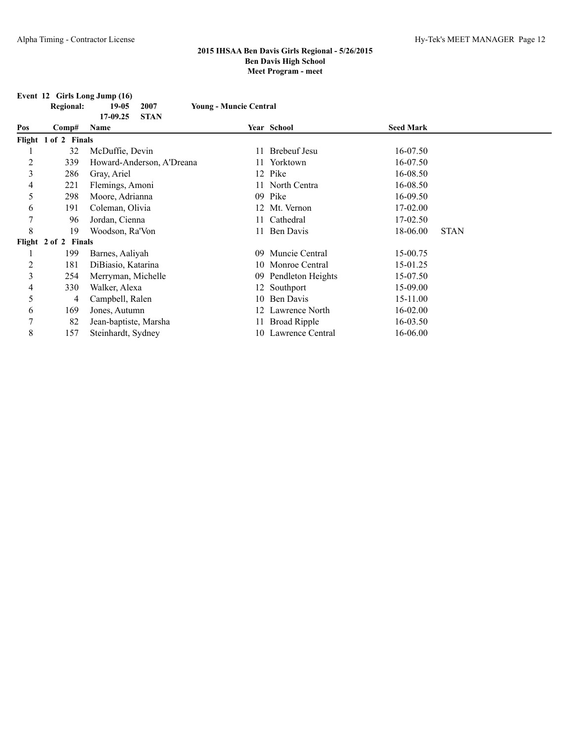|                | <b>Regional:</b>     | 19-05                     | 2007        | <b>Young - Muncie Central</b> |                     |                  |             |
|----------------|----------------------|---------------------------|-------------|-------------------------------|---------------------|------------------|-------------|
|                |                      | 17-09.25                  | <b>STAN</b> |                               |                     |                  |             |
| Pos            | Comp#                | Name                      |             |                               | Year School         | <b>Seed Mark</b> |             |
|                | Flight 1 of 2 Finals |                           |             |                               |                     |                  |             |
|                | 32                   | McDuffie, Devin           |             | 11                            | <b>Brebeuf Jesu</b> | 16-07.50         |             |
| 2              | 339                  | Howard-Anderson, A'Dreana |             |                               | Yorktown            | 16-07.50         |             |
| 3              | 286                  | Gray, Ariel               |             |                               | 12 Pike             | 16-08.50         |             |
| 4              | 221                  | Flemings, Amoni           |             |                               | North Centra        | 16-08.50         |             |
| 5              | 298                  | Moore, Adrianna           |             | 09                            | Pike                | 16-09.50         |             |
| 6              | 191                  | Coleman, Olivia           |             |                               | 12 Mt. Vernon       | 17-02.00         |             |
| 7              | 96                   | Jordan, Cienna            |             |                               | 11 Cathedral        | 17-02.50         |             |
| 8              | 19                   | Woodson, Ra'Von           |             |                               | Ben Davis           | 18-06.00         | <b>STAN</b> |
|                | Flight 2 of 2 Finals |                           |             |                               |                     |                  |             |
|                | 199                  | Barnes, Aaliyah           |             | 09                            | Muncie Central      | 15-00.75         |             |
| $\overline{2}$ | 181                  | DiBiasio, Katarina        |             |                               | 10 Monroe Central   | 15-01.25         |             |
| 3              | 254                  | Merryman, Michelle        |             | 09                            | Pendleton Heights   | 15-07.50         |             |
| 4              | 330                  | Walker, Alexa             |             |                               | 12 Southport        | 15-09.00         |             |
| 5              | 4                    | Campbell, Ralen           |             | 10.                           | Ben Davis           | 15-11.00         |             |
| 6              | 169                  | Jones, Autumn             |             |                               | Lawrence North      | 16-02.00         |             |
| 7              | 82                   | Jean-baptiste, Marsha     |             |                               | Broad Ripple        | $16-03.50$       |             |
| 8              | 157                  | Steinhardt, Sydney        |             |                               | 10 Lawrence Central | 16-06.00         |             |

# **Event 12 Girls Long Jump (16)**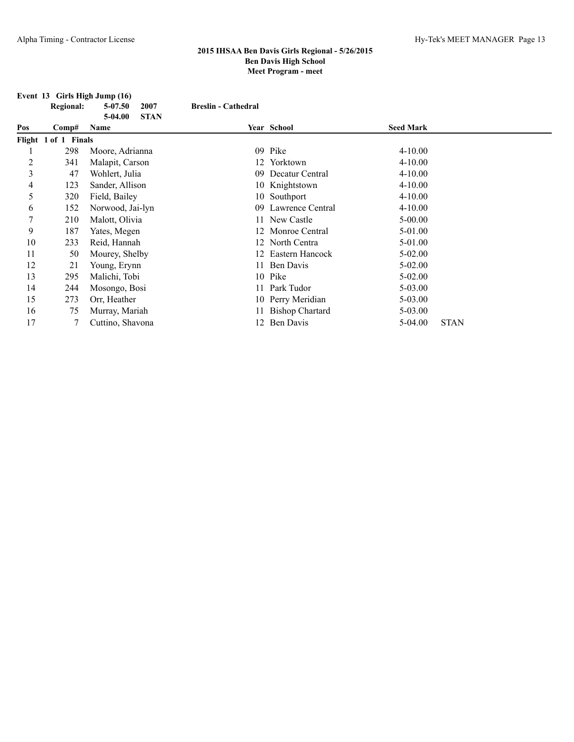**Event 13 Girls High Jump (16)**

|                | <b>Regional:</b>     | $5 - 07.50$<br>2007      | <b>Breslin - Cathedral</b> |                        |                  |             |
|----------------|----------------------|--------------------------|----------------------------|------------------------|------------------|-------------|
|                |                      | <b>STAN</b><br>$5-04.00$ |                            |                        |                  |             |
| Pos            | Comp#                | Name                     |                            | Year School            | <b>Seed Mark</b> |             |
|                | Flight 1 of 1 Finals |                          |                            |                        |                  |             |
|                | 298                  | Moore, Adrianna          |                            | 09 Pike                | $4 - 10.00$      |             |
| $\overline{c}$ | 341                  | Malapit, Carson          | 12                         | Yorktown               | $4 - 10.00$      |             |
| 3              | 47                   | Wohlert, Julia           | 09.                        | Decatur Central        | $4 - 10.00$      |             |
| 4              | 123                  | Sander, Allison          |                            | 10 Knightstown         | $4 - 10.00$      |             |
| 5              | 320                  | Field, Bailey            |                            | 10 Southport           | $4 - 10.00$      |             |
| 6              | 152                  | Norwood, Jai-lyn         | $^{09}$                    | Lawrence Central       | $4 - 10.00$      |             |
| 7              | 210                  | Malott, Olivia           | 11.                        | New Castle             | 5-00.00          |             |
| 9              | 187                  | Yates, Megen             |                            | 12 Monroe Central      | 5-01.00          |             |
| 10             | 233                  | Reid, Hannah             |                            | 12 North Centra        | 5-01.00          |             |
| 11             | 50                   | Mourey, Shelby           |                            | 12 Eastern Hancock     | 5-02.00          |             |
| 12             | 21                   | Young, Erynn             | 11                         | Ben Davis              | 5-02.00          |             |
| 13             | 295                  | Malichi, Tobi            |                            | 10 Pike                | 5-02.00          |             |
| 14             | 244                  | Mosongo, Bosi            | 11                         | Park Tudor             | 5-03.00          |             |
| 15             | 273                  | Orr, Heather             |                            | 10 Perry Meridian      | 5-03.00          |             |
| 16             | 75                   | Murray, Mariah           |                            | <b>Bishop Chartard</b> | 5-03.00          |             |
| 17             |                      | Cuttino, Shavona         |                            | 12 Ben Davis           | 5-04.00          | <b>STAN</b> |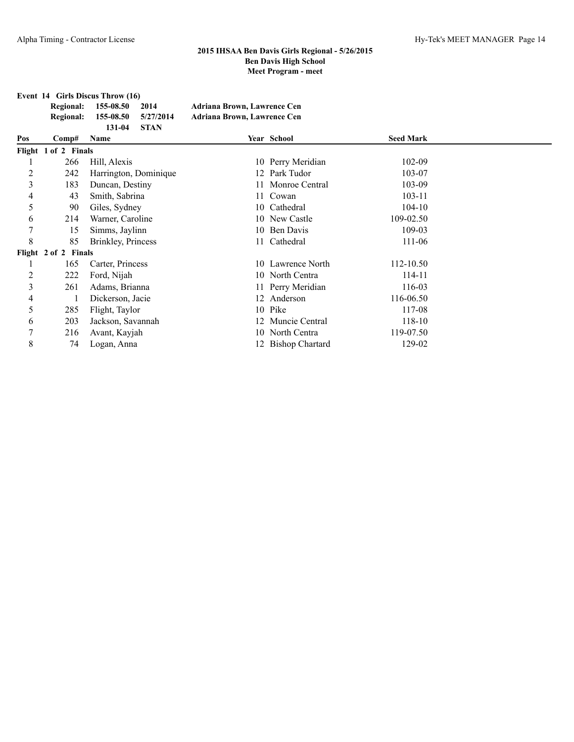**Event 14 Girls Discus Throw (16)**

|  | Regional: 155-08.50 2014      | Adriana Brown, Lawrence Cen        |
|--|-------------------------------|------------------------------------|
|  | Regional: 155-08.50 5/27/2014 | <b>Adriana Brown, Lawrence Cen</b> |
|  | 131-04 STAN                   |                                    |

| Pos    | Comp#                | Name                  | Year School        | <b>Seed Mark</b> |  |
|--------|----------------------|-----------------------|--------------------|------------------|--|
|        | Flight 1 of 2 Finals |                       |                    |                  |  |
|        | 266                  | Hill, Alexis          | 10 Perry Meridian  | 102-09           |  |
| 2      | 242                  | Harrington, Dominique | 12 Park Tudor      | 103-07           |  |
| 3      | 183                  | Duncan, Destiny       | 11 Monroe Central  | 103-09           |  |
| 4      | 43                   | Smith, Sabrina        | 11 Cowan           | 103-11           |  |
| 5      | 90                   | Giles, Sydney         | 10 Cathedral       | $104 - 10$       |  |
| 6      | 214                  | Warner, Caroline      | 10 New Castle      | 109-02.50        |  |
| 7      | 15                   | Simms, Jaylinn        | 10 Ben Davis       | 109-03           |  |
| 8      | 85                   | Brinkley, Princess    | 11 Cathedral       | 111-06           |  |
|        | Flight 2 of 2 Finals |                       |                    |                  |  |
|        | 165                  | Carter, Princess      | 10 Lawrence North  | $112 - 10.50$    |  |
| 2      | 222                  | Ford, Nijah           | 10 North Centra    | 114-11           |  |
| 3      | 261                  | Adams, Brianna        | 11 Perry Meridian  | 116-03           |  |
| 4      |                      | Dickerson, Jacie      | 12 Anderson        | 116-06.50        |  |
| 5      | 285                  | Flight, Taylor        | 10 Pike            | 117-08           |  |
| 6      | 203                  | Jackson, Savannah     | 12 Muncie Central  | 118-10           |  |
| $\tau$ | 216                  | Avant, Kayjah         | 10 North Centra    | 119-07.50        |  |
| 8      | 74                   | Logan, Anna           | 12 Bishop Chartard | 129-02           |  |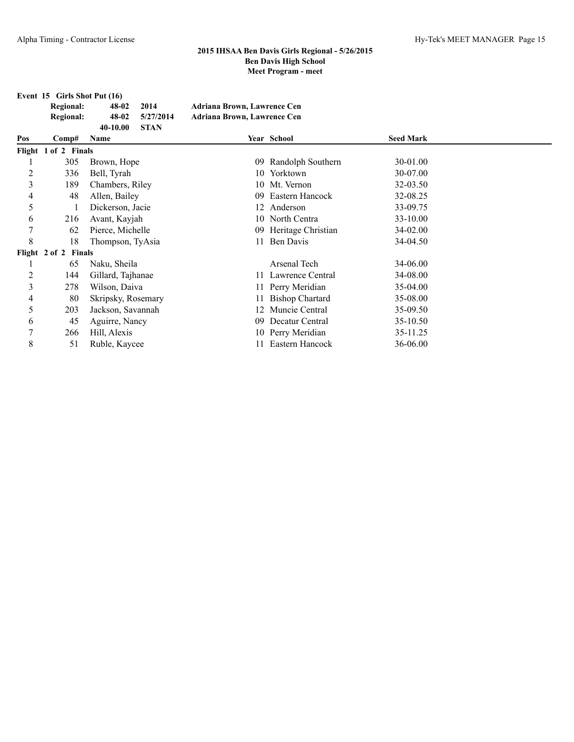**Event 15 Girls Shot Put (16)**

| <b>Regional:</b> | 48-02    | 2014            | Adriana Brown, Lawrence Cen |
|------------------|----------|-----------------|-----------------------------|
| <b>Regional:</b> |          | 48-02 5/27/2014 | Adriana Brown, Lawrence Cen |
|                  | 40-10.00 | <b>STAN</b>     |                             |

| Pos | Comp#                | Name               |     | Year School            | <b>Seed Mark</b> |  |
|-----|----------------------|--------------------|-----|------------------------|------------------|--|
|     | Flight 1 of 2 Finals |                    |     |                        |                  |  |
|     | 305                  | Brown, Hope        | 09  | Randolph Southern      | 30-01.00         |  |
| 2   | 336                  | Bell, Tyrah        | 10- | Yorktown               | 30-07.00         |  |
| 3   | 189                  | Chambers, Riley    |     | 10 Mt. Vernon          | 32-03.50         |  |
| 4   | 48                   | Allen, Bailey      | 09  | Eastern Hancock        | 32-08.25         |  |
| 5   |                      | Dickerson, Jacie   |     | 12 Anderson            | 33-09.75         |  |
| 6   | 216                  | Avant, Kayjah      |     | 10 North Centra        | 33-10.00         |  |
| 7   | 62                   | Pierce, Michelle   | 09  | Heritage Christian     | 34-02.00         |  |
| 8   | 18                   | Thompson, TyAsia   | 11. | Ben Davis              | 34-04.50         |  |
|     | Flight 2 of 2 Finals |                    |     |                        |                  |  |
|     | 65                   | Naku, Sheila       |     | Arsenal Tech           | 34-06.00         |  |
| 2   | 144                  | Gillard, Tajhanae  |     | 11 Lawrence Central    | 34-08.00         |  |
| 3   | 278                  | Wilson, Daiva      | 11. | Perry Meridian         | $35-04.00$       |  |
| 4   | 80                   | Skripsky, Rosemary | 11  | <b>Bishop Chartard</b> | 35-08.00         |  |
| 5   | 203                  | Jackson, Savannah  |     | 12 Muncie Central      | 35-09.50         |  |
| 6   | 45                   | Aguirre, Nancy     | 09  | Decatur Central        | 35-10.50         |  |
| 7   | 266                  | Hill, Alexis       |     | 10 Perry Meridian      | 35-11.25         |  |
| 8   | 51                   | Ruble, Kaycee      |     | Eastern Hancock        | 36-06.00         |  |